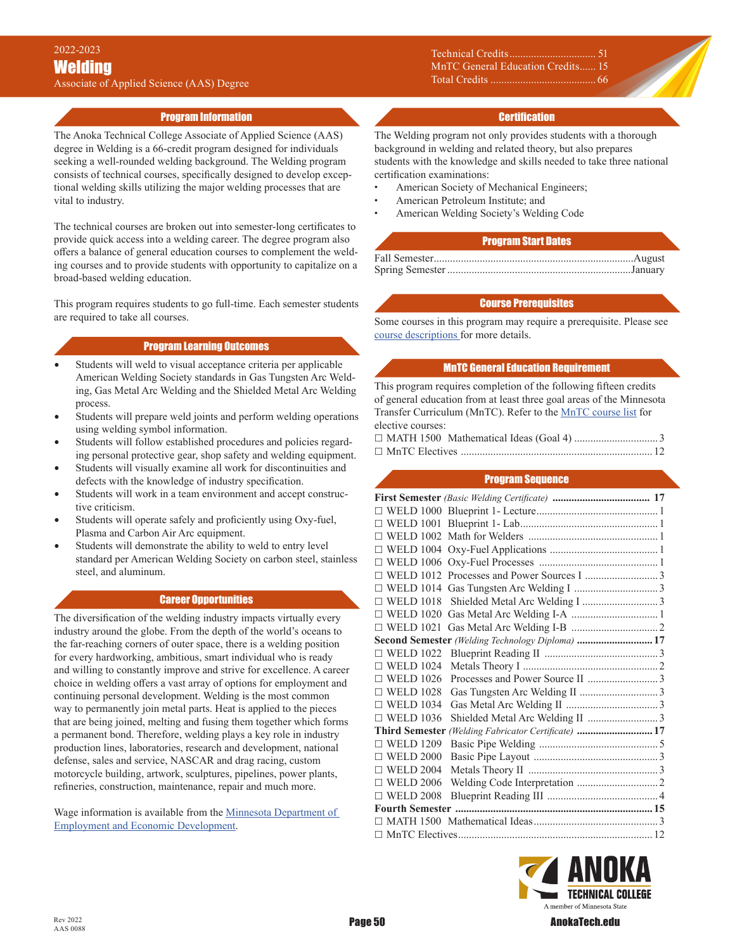Associate of Applied Science (AAS) Degree

### Program Information

The Anoka Technical College Associate of Applied Science (AAS) degree in Welding is a 66-credit program designed for individuals seeking a well-rounded welding background. The Welding program consists of technical courses, specifically designed to develop exceptional welding skills utilizing the major welding processes that are vital to industry.

The technical courses are broken out into semester-long certificates to provide quick access into a welding career. The degree program also offers a balance of general education courses to complement the welding courses and to provide students with opportunity to capitalize on a broad-based welding education.

This program requires students to go full-time. Each semester students are required to take all courses.

#### Program Learning Outcomes

- Students will weld to visual acceptance criteria per applicable American Welding Society standards in Gas Tungsten Arc Welding, Gas Metal Arc Welding and the Shielded Metal Arc Welding process.
- Students will prepare weld joints and perform welding operations using welding symbol information.
- Students will follow established procedures and policies regarding personal protective gear, shop safety and welding equipment.
- Students will visually examine all work for discontinuities and defects with the knowledge of industry specification.
- Students will work in a team environment and accept constructive criticism.
- Students will operate safely and proficiently using Oxy-fuel, Plasma and Carbon Air Arc equipment.
- Students will demonstrate the ability to weld to entry level standard per American Welding Society on carbon steel, stainless steel, and aluminum.

## Career Opportunities

The diversification of the welding industry impacts virtually every industry around the globe. From the depth of the world's oceans to the far-reaching corners of outer space, there is a welding position for every hardworking, ambitious, smart individual who is ready and willing to constantly improve and strive for excellence. A career choice in welding offers a vast array of options for employment and continuing personal development. Welding is the most common way to permanently join metal parts. Heat is applied to the pieces that are being joined, melting and fusing them together which forms a permanent bond. Therefore, welding plays a key role in industry production lines, laboratories, research and development, national defense, sales and service, NASCAR and drag racing, custom motorcycle building, artwork, sculptures, pipelines, power plants, refineries, construction, maintenance, repair and much more.

Wage information is available from the [Minnesota Department of](https://mn.gov/deed/job-seekers/job-outlook/)  [Employment and Economic Development](https://mn.gov/deed/job-seekers/job-outlook/).

Technical Credits�������������������������������� 51 MnTC General Education Credits...... 15 Total Credits ��������������������������������������� 66

#### **Certification**

The Welding program not only provides students with a thorough background in welding and related theory, but also prepares students with the knowledge and skills needed to take three national certification examinations:

- American Society of Mechanical Engineers;
- American Petroleum Institute; and
- American Welding Society's Welding Code

#### Program Start Dates

#### Course Prerequisites

Some courses in this program may require a prerequisite. Please see [course descriptions](http://www.anokatech.edu/ProgramsCourses/CourseList_Descriptions ) for more details.

## MnTC General Education Requirement

This program requires completion of the following fifteen credits of general education from at least three goal areas of the Minnesota Transfer Curriculum (MnTC). Refer to the [MnTC course list](http://www.anokatech.edu/BecomeStudent/Transfers/MnTC) for elective courses:

#### Program Sequence

| $\Box$ WELD 1018      |                                                  |
|-----------------------|--------------------------------------------------|
| $\Box$ WELD 1020      |                                                  |
| $\Box$ WELD 1021      |                                                  |
|                       | Second Semester (Welding Technology Diploma)  17 |
| $\Box$ WELD 1022      |                                                  |
| $\Box$ WELD 1024      |                                                  |
| $\Box$ WELD 1026      |                                                  |
| $\Box$ WELD 1028      |                                                  |
| $\Box$ WELD 1034      |                                                  |
| $\Box$ WELD 1036      |                                                  |
| <b>Third Semester</b> | (Welding Fabricator Certificate)  17             |
| $\Box$ WELD 1209      |                                                  |
| $\Box$ WELD 2000      |                                                  |
| $\Box$ WELD 2004      |                                                  |
| $\Box$ WELD 2006      |                                                  |
| $\Box$ WELD 2008      |                                                  |
|                       |                                                  |
|                       |                                                  |
|                       |                                                  |